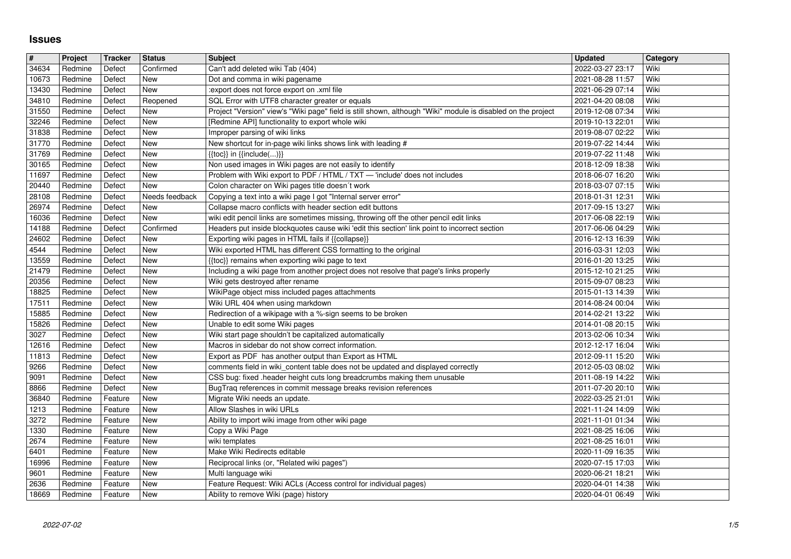## **Issues**

| $\sqrt{t}$     | Project            | <b>Tracker</b>     | <b>Status</b>     | <b>Subject</b>                                                                                                                                                                          | <b>Updated</b>                       | Category     |
|----------------|--------------------|--------------------|-------------------|-----------------------------------------------------------------------------------------------------------------------------------------------------------------------------------------|--------------------------------------|--------------|
| 34634          | Redmine            | Defect             | Confirmed         | Can't add deleted wiki Tab (404)                                                                                                                                                        | 2022-03-27 23:17                     | Wiki         |
| 10673          | Redmine            | Defect             | New               | Dot and comma in wiki pagename                                                                                                                                                          | 2021-08-28 11:57                     | Wiki         |
| 13430<br>34810 | Redmine<br>Redmine | Defect<br>Defect   | New<br>Reopened   | :export does not force export on .xml file<br>SQL Error with UTF8 character greater or equals                                                                                           | 2021-06-29 07:14<br>2021-04-20 08:08 | Wiki<br>Wiki |
| 31550          | Redmine            | Defect             | New               | Project "Version" view's "Wiki page" field is still shown, although "Wiki" module is disabled on the project                                                                            | 2019-12-08 07:34                     | Wiki         |
| 32246          | Redmine            | Defect             | New               | [Redmine API] functionality to export whole wiki                                                                                                                                        | 2019-10-13 22:01                     | Wiki         |
| 31838          | Redmine            | Defect             | New               | Improper parsing of wiki links                                                                                                                                                          | 2019-08-07 02:22                     | Wiki         |
| 31770<br>31769 | Redmine<br>Redmine | Defect<br>Defect   | New<br>New        | New shortcut for in-page wiki links shows link with leading #<br>$\{ \{ \text{toc} \} \}$ in $\{ \{ \text{include} () \} \}$                                                            | 2019-07-22 14:44<br>2019-07-22 11:48 | Wiki<br>Wiki |
| 30165          | Redmine            | Defect             | New               | Non used images in Wiki pages are not easily to identify                                                                                                                                | 2018-12-09 18:38                     | Wiki         |
| 11697          | Redmine            | Defect             | New               | Problem with Wiki export to PDF / HTML / TXT - 'include' does not includes                                                                                                              | 2018-06-07 16:20                     | Wiki         |
| 20440          | Redmine            | Defect             | New               | Colon character on Wiki pages title doesn't work                                                                                                                                        | 2018-03-07 07:15                     | Wiki         |
| 28108          | Redmine            | Defect             | Needs feedback    | Copying a text into a wiki page I got "Internal server error"                                                                                                                           | 2018-01-31 12:31                     | Wiki         |
| 26974          | Redmine            | Defect             | New               | Collapse macro conflicts with header section edit buttons                                                                                                                               | 2017-09-15 13:27                     | Wiki         |
| 16036<br>14188 | Redmine<br>Redmine | Defect<br>Defect   | New<br>Confirmed  | wiki edit pencil links are sometimes missing, throwing off the other pencil edit links<br>Headers put inside blockquotes cause wiki 'edit this section' link point to incorrect section | 2017-06-08 22:19<br>2017-06-06 04:29 | Wiki<br>Wiki |
| 24602          | Redmine            | Defect             | New               | Exporting wiki pages in HTML fails if {{collapse}}                                                                                                                                      | 2016-12-13 16:39                     | Wiki         |
| 4544           | Redmine            | Defect             | New               | Wiki exported HTML has different CSS formatting to the original                                                                                                                         | 2016-03-31 12:03                     | Wiki         |
| 13559          | Redmine            | Defect             | New               | {{toc}} remains when exporting wiki page to text                                                                                                                                        | 2016-01-20 13:25                     | Wiki         |
| 21479          | Redmine            | Defect             | New               | Including a wiki page from another project does not resolve that page's links properly                                                                                                  | 2015-12-10 21:25                     | Wiki         |
| 20356<br>18825 | Redmine<br>Redmine | Defect<br>Defect   | <b>New</b><br>New | Wiki gets destroyed after rename<br>WikiPage object miss included pages attachments                                                                                                     | 2015-09-07 08:23<br>2015-01-13 14:39 | Wiki<br>Wiki |
| 17511          | Redmine            | Defect             | New               | Wiki URL 404 when using markdown                                                                                                                                                        | 2014-08-24 00:04                     | Wiki         |
| 15885          | Redmine            | Defect             | New               | Redirection of a wikipage with a %-sign seems to be broken                                                                                                                              | 2014-02-21 13:22                     | Wiki         |
| 15826          | Redmine            | Defect             | New               | Unable to edit some Wiki pages                                                                                                                                                          | 2014-01-08 20:15                     | Wiki         |
| 3027           | Redmine            | Defect             | New               | Wiki start page shouldn't be capitalized automatically                                                                                                                                  | 2013-02-06 10:34                     | Wiki<br>Wiki |
| 12616<br>11813 | Redmine<br>Redmine | Defect<br>Defect   | New<br>New        | Macros in sidebar do not show correct information.<br>Export as PDF has another output than Export as HTML                                                                              | 2012-12-17 16:04<br>2012-09-11 15:20 | Wiki         |
| 9266           | Redmine            | Defect             | New               | comments field in wiki_content table does not be updated and displayed correctly                                                                                                        | 2012-05-03 08:02                     | Wiki         |
| 9091           | Redmine            | Defect             | <b>New</b>        | CSS bug: fixed .header height cuts long breadcrumbs making them unusable                                                                                                                | 2011-08-19 14:22                     | Wiki         |
| 8866           | Redmine            | Defect             | New               | BugTraq references in commit message breaks revision references                                                                                                                         | 2011-07-20 20:10                     | Wiki         |
| 36840          | Redmine            | Feature            | New               | Migrate Wiki needs an update.                                                                                                                                                           | 2022-03-25 21:01                     | Wiki         |
| 1213<br>3272   | Redmine<br>Redmine | Feature<br>Feature | New<br>New        | Allow Slashes in wiki URLs<br>Ability to import wiki image from other wiki page                                                                                                         | 2021-11-24 14:09<br>2021-11-01 01:34 | Wiki<br>Wiki |
| 1330           | Redmine            | Feature            | New               | Copy a Wiki Page                                                                                                                                                                        | 2021-08-25 16:06                     | Wiki         |
| 2674           | Redmine            | Feature            | New               | wiki templates                                                                                                                                                                          | 2021-08-25 16:01                     | Wiki         |
| 6401           | Redmine            | Feature            | New               | Make Wiki Redirects editable                                                                                                                                                            | 2020-11-09 16:35                     | Wiki         |
| 16996          | Redmine            | Feature            | New               | Reciprocal links (or, "Related wiki pages")                                                                                                                                             | 2020-07-15 17:03                     | Wiki         |
| 9601<br>2636   | Redmine<br>Redmine | Feature            | New               | Multi language wiki<br>Feature Request: Wiki ACLs (Access control for individual pages)                                                                                                 | 2020-06-21 18:21                     | Wiki<br>Wiki |
| 18669          | Redmine            | Feature<br>Feature | New<br>New        | Ability to remove Wiki (page) history                                                                                                                                                   | 2020-04-01 14:38<br>2020-04-01 06:49 | Wiki         |
|                |                    |                    |                   |                                                                                                                                                                                         |                                      |              |
|                |                    |                    |                   |                                                                                                                                                                                         |                                      |              |
|                |                    |                    |                   |                                                                                                                                                                                         |                                      |              |
|                |                    |                    |                   |                                                                                                                                                                                         |                                      |              |
|                |                    |                    |                   |                                                                                                                                                                                         |                                      |              |
|                |                    |                    |                   |                                                                                                                                                                                         |                                      |              |
|                |                    |                    |                   |                                                                                                                                                                                         |                                      |              |
|                |                    |                    |                   |                                                                                                                                                                                         |                                      |              |
|                |                    |                    |                   |                                                                                                                                                                                         |                                      |              |
|                |                    |                    |                   |                                                                                                                                                                                         |                                      |              |
|                |                    |                    |                   |                                                                                                                                                                                         |                                      |              |
|                |                    |                    |                   |                                                                                                                                                                                         |                                      |              |
|                |                    |                    |                   |                                                                                                                                                                                         |                                      |              |
|                |                    |                    |                   |                                                                                                                                                                                         |                                      |              |
|                |                    |                    |                   |                                                                                                                                                                                         |                                      |              |
|                |                    |                    |                   |                                                                                                                                                                                         |                                      |              |
|                |                    |                    |                   |                                                                                                                                                                                         |                                      |              |
|                |                    |                    |                   |                                                                                                                                                                                         |                                      |              |
|                |                    |                    |                   |                                                                                                                                                                                         |                                      |              |
|                |                    |                    |                   |                                                                                                                                                                                         |                                      |              |
|                |                    |                    |                   |                                                                                                                                                                                         |                                      |              |
|                |                    |                    |                   |                                                                                                                                                                                         |                                      |              |
|                |                    |                    |                   |                                                                                                                                                                                         |                                      |              |
|                |                    |                    |                   |                                                                                                                                                                                         |                                      |              |
|                |                    |                    |                   |                                                                                                                                                                                         |                                      |              |
|                |                    |                    |                   |                                                                                                                                                                                         |                                      |              |
|                |                    |                    |                   |                                                                                                                                                                                         |                                      |              |
|                |                    |                    |                   |                                                                                                                                                                                         |                                      |              |
|                |                    |                    |                   |                                                                                                                                                                                         |                                      |              |
|                |                    |                    |                   |                                                                                                                                                                                         |                                      |              |
|                |                    |                    |                   |                                                                                                                                                                                         |                                      |              |
|                |                    |                    |                   |                                                                                                                                                                                         |                                      |              |
|                |                    |                    |                   |                                                                                                                                                                                         |                                      |              |
|                |                    |                    |                   |                                                                                                                                                                                         |                                      |              |
|                |                    |                    |                   |                                                                                                                                                                                         |                                      |              |
|                |                    |                    |                   |                                                                                                                                                                                         |                                      |              |
|                |                    |                    |                   |                                                                                                                                                                                         |                                      |              |
|                |                    |                    |                   |                                                                                                                                                                                         |                                      |              |
|                |                    |                    |                   |                                                                                                                                                                                         |                                      |              |
|                |                    |                    |                   |                                                                                                                                                                                         |                                      |              |
|                |                    |                    |                   |                                                                                                                                                                                         |                                      |              |
|                |                    |                    |                   |                                                                                                                                                                                         |                                      |              |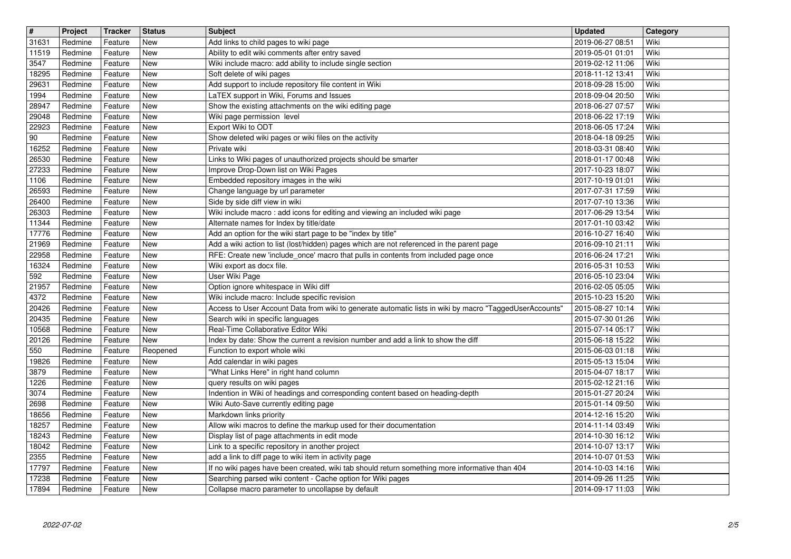| $\overline{\mathbf{H}}$ | Project            | Tracker            | <b>Status</b>            | <b>Subject</b>                                                                                                                                           | <b>Updated</b>                       | Category     |
|-------------------------|--------------------|--------------------|--------------------------|----------------------------------------------------------------------------------------------------------------------------------------------------------|--------------------------------------|--------------|
| 31631<br>11519          | Redmine<br>Redmine | Feature<br>Feature | <b>New</b><br>New        | Add links to child pages to wiki page<br>Ability to edit wiki comments after entry saved                                                                 | 2019-06-27 08:51<br>2019-05-01 01:01 | Wiki<br>Wiki |
| 3547                    | Redmine            | Feature            | <b>New</b>               | Wiki include macro: add ability to include single section                                                                                                | 2019-02-12 11:06                     | Wiki         |
| 18295<br>29631          | Redmine<br>Redmine | Feature<br>Feature | New<br>New               | Soft delete of wiki pages<br>Add support to include repository file content in Wiki                                                                      | 2018-11-12 13:41<br>2018-09-28 15:00 | Wiki<br>Wiki |
| 1994                    | Redmine            | Feature            | New                      | LaTEX support in Wiki, Forums and Issues                                                                                                                 | 2018-09-04 20:50                     | Wiki         |
| 28947<br>29048          | Redmine<br>Redmine | Feature<br>Feature | New<br>New               | Show the existing attachments on the wiki editing page<br>Wiki page permission level                                                                     | 2018-06-27 07:57<br>2018-06-22 17:19 | Wiki<br>Wiki |
| 22923                   | Redmine            | Feature            | New                      | Export Wiki to ODT                                                                                                                                       | 2018-06-05 17:24                     | Wiki         |
| $90\,$                  | Redmine            | Feature            | <b>New</b>               | Show deleted wiki pages or wiki files on the activity                                                                                                    | 2018-04-18 09:25                     | Wiki         |
| 16252<br>26530          | Redmine<br>Redmine | Feature<br>Feature | <b>New</b><br><b>New</b> | Private wiki<br>Links to Wiki pages of unauthorized projects should be smarter                                                                           | 2018-03-31 08:40<br>2018-01-17 00:48 | Wiki<br>Wiki |
| 27233                   | Redmine            | Feature            | New                      | Improve Drop-Down list on Wiki Pages                                                                                                                     | 2017-10-23 18:07                     | Wiki         |
| 1106<br>26593           | Redmine<br>Redmine | Feature<br>Feature | New<br>New               | Embedded repository images in the wiki<br>Change language by url parameter                                                                               | 2017-10-19 01:01<br>2017-07-31 17:59 | Wiki<br>Wiki |
| 26400                   | Redmine            | Feature            | New                      | Side by side diff view in wiki                                                                                                                           | 2017-07-10 13:36                     | Wiki         |
| 26303                   | Redmine            | Feature            | New                      | Wiki include macro: add icons for editing and viewing an included wiki page                                                                              | 2017-06-29 13:54                     | Wiki         |
| 11344<br>17776          | Redmine<br>Redmine | Feature<br>Feature | New<br>New               | Alternate names for Index by title/date<br>Add an option for the wiki start page to be "index by title"                                                  | 2017-01-10 03:42<br>2016-10-27 16:40 | Wiki<br>Wiki |
| 21969                   | Redmine            | Feature            | <b>New</b>               | Add a wiki action to list (lost/hidden) pages which are not referenced in the parent page                                                                | 2016-09-10 21:11                     | Wiki         |
| 22958<br>16324          | Redmine<br>Redmine | Feature<br>Feature | New<br>New               | RFE: Create new 'include_once' macro that pulls in contents from included page once<br>Wiki export as docx file.                                         | 2016-06-24 17:21<br>2016-05-31 10:53 | Wiki<br>Wiki |
| 592                     | Redmine            | Feature            | New                      | User Wiki Page                                                                                                                                           | 2016-05-10 23:04                     | Wiki         |
| 21957                   | Redmine            | Feature            | New                      | Option ignore whitespace in Wiki diff                                                                                                                    | 2016-02-05 05:05                     | Wiki         |
| 4372<br>20426           | Redmine<br>Redmine | Feature<br>Feature | New<br>New               | Wiki include macro: Include specific revision<br>Access to User Account Data from wiki to generate automatic lists in wiki by macro "TaggedUserAccounts" | 2015-10-23 15:20<br>2015-08-27 10:14 | Wiki<br>Wiki |
| 20435                   | Redmine            | Feature            | New                      | Search wiki in specific languages                                                                                                                        | 2015-07-30 01:26                     | Wiki         |
| 10568<br>20126          | Redmine<br>Redmine | Feature<br>Feature | <b>New</b><br>New        | Real-Time Collaborative Editor Wiki<br>Index by date: Show the current a revision number and add a link to show the diff                                 | 2015-07-14 05:17<br>2015-06-18 15:22 | Wiki<br>Wiki |
| 550                     | Redmine            | Feature            | Reopened                 | Function to export whole wiki                                                                                                                            | 2015-06-03 01:18                     | Wiki         |
| 19826                   | Redmine            | Feature            | New<br>New               | Add calendar in wiki pages<br>"What Links Here" in right hand column                                                                                     | 2015-05-13 15:04                     | Wiki<br>Wiki |
| 3879<br>1226            | Redmine<br>Redmine | Feature<br>Feature | New                      | query results on wiki pages                                                                                                                              | 2015-04-07 18:17<br>2015-02-12 21:16 | Wiki         |
| 3074                    | Redmine            | Feature            | New                      | Indention in Wiki of headings and corresponding content based on heading-depth                                                                           | 2015-01-27 20:24                     | Wiki         |
| 2698<br>18656           | Redmine<br>Redmine | Feature<br>Feature | New<br>New               | Wiki Auto-Save currently editing page<br>Markdown links priority                                                                                         | 2015-01-14 09:50<br>2014-12-16 15:20 | Wiki<br>Wiki |
| 18257                   | Redmine            | Feature            | New                      | Allow wiki macros to define the markup used for their documentation                                                                                      | 2014-11-14 03:49                     | Wiki         |
| 18243<br>18042          | Redmine<br>Redmine | Feature            | New<br>New               | Display list of page attachments in edit mode<br>Link to a specific repository in another project                                                        | 2014-10-30 16:12<br>2014-10-07 13:17 | Wiki<br>Wiki |
| 2355                    | Redmine            | Feature<br>Feature | New                      | add a link to diff page to wiki item in activity page                                                                                                    | 2014-10-07 01:53                     | Wiki         |
| 17797                   | Redmine            | Feature            | New                      | If no wiki pages have been created, wiki tab should return something more informative than 404                                                           | 2014-10-03 14:16                     | Wiki         |
| 17238<br>17894          | Redmine<br>Redmine | Feature<br>Feature | New<br>New               | Searching parsed wiki content - Cache option for Wiki pages<br>Collapse macro parameter to uncollapse by default                                         | 2014-09-26 11:25<br>2014-09-17 11:03 | Wiki<br>Wiki |
|                         |                    |                    |                          |                                                                                                                                                          |                                      |              |
|                         |                    |                    |                          |                                                                                                                                                          |                                      |              |
|                         |                    |                    |                          |                                                                                                                                                          |                                      |              |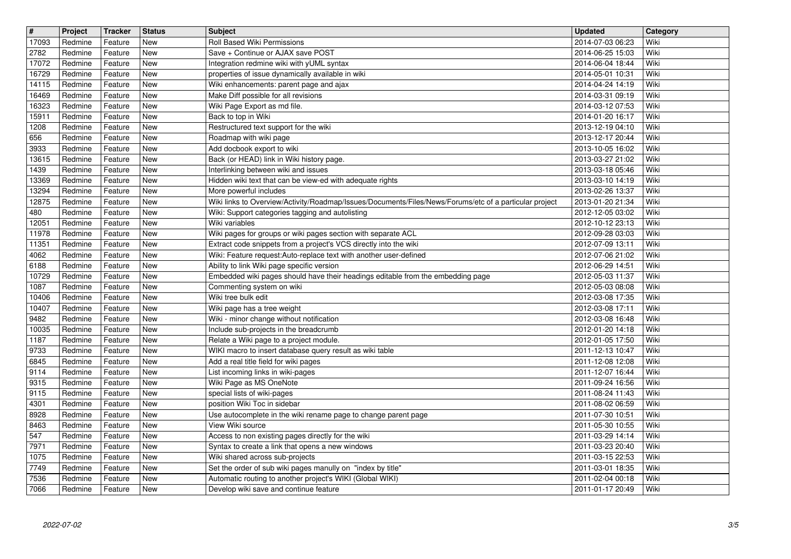| $\sqrt{t}$ | Project | <b>Tracker</b> | <b>Status</b> | <b>Subject</b>                                                                                         | <b>Updated</b>   | Category |
|------------|---------|----------------|---------------|--------------------------------------------------------------------------------------------------------|------------------|----------|
| 17093      | Redmine | Feature        | New           | Roll Based Wiki Permissions                                                                            | 2014-07-03 06:23 | Wiki     |
| 2782       | Redmine | Feature        | New           | Save + Continue or AJAX save POST                                                                      | 2014-06-25 15:03 | Wiki     |
| 17072      | Redmine | Feature        | <b>New</b>    | Integration redmine wiki with yUML syntax                                                              | 2014-06-04 18:44 | Wiki     |
| 16729      | Redmine | Feature        | <b>New</b>    | properties of issue dynamically available in wiki                                                      | 2014-05-01 10:31 | Wiki     |
| 14115      | Redmine | Feature        | New           | Wiki enhancements: parent page and ajax                                                                | 2014-04-24 14:19 | Wiki     |
| 16469      | Redmine | Feature        | New           | Make Diff possible for all revisions                                                                   | 2014-03-31 09:19 | Wiki     |
| 16323      | Redmine | Feature        | New           | Wiki Page Export as md file.                                                                           | 2014-03-12 07:53 | Wiki     |
| 15911      | Redmine | Feature        | New           | Back to top in Wiki                                                                                    | 2014-01-20 16:17 | Wiki     |
| 1208       | Redmine | Feature        | New           | Restructured text support for the wiki                                                                 | 2013-12-19 04:10 | Wiki     |
| 656        | Redmine | Feature        | <b>New</b>    | Roadmap with wiki page                                                                                 | 2013-12-17 20:44 | Wiki     |
| 3933       | Redmine | Feature        | <b>New</b>    | Add docbook export to wiki                                                                             | 2013-10-05 16:02 | Wiki     |
| 13615      | Redmine | Feature        | <b>New</b>    | Back (or HEAD) link in Wiki history page.                                                              | 2013-03-27 21:02 | Wiki     |
| 1439       | Redmine | Feature        | <b>New</b>    | Interlinking between wiki and issues                                                                   | 2013-03-18 05:46 | Wiki     |
| 13369      | Redmine | Feature        | New           | Hidden wiki text that can be view-ed with adequate rights                                              | 2013-03-10 14:19 | Wiki     |
| 13294      | Redmine | Feature        | New           | More powerful includes                                                                                 | 2013-02-26 13:37 | Wiki     |
| 12875      | Redmine | Feature        | New           | Wiki links to Overview/Activity/Roadmap/Issues/Documents/Files/News/Forums/etc of a particular project | 2013-01-20 21:34 | Wiki     |
| 480        | Redmine | Feature        | New           | Wiki: Support categories tagging and autolisting                                                       | 2012-12-05 03:02 | Wiki     |
| 12051      | Redmine | Feature        | New           | Wiki variables                                                                                         | 2012-10-12 23:13 | Wiki     |
| 11978      | Redmine | Feature        | <b>New</b>    | Wiki pages for groups or wiki pages section with separate ACL                                          | 2012-09-28 03:03 | Wiki     |
| 11351      | Redmine | Feature        | <b>New</b>    | Extract code snippets from a project's VCS directly into the wiki                                      | 2012-07-09 13:11 | Wiki     |
| 4062       | Redmine | Feature        | New           | Wiki: Feature request:Auto-replace text with another user-defined                                      | 2012-07-06 21:02 | Wiki     |
| 6188       | Redmine | Feature        | <b>New</b>    | Ability to link Wiki page specific version                                                             | 2012-06-29 14:51 | Wiki     |
| 10729      | Redmine | Feature        | New           | Embedded wiki pages should have their headings editable from the embedding page                        | 2012-05-03 11:37 | Wiki     |
| 1087       | Redmine | Feature        | New           | Commenting system on wiki                                                                              | 2012-05-03 08:08 | Wiki     |
| 10406      | Redmine | Feature        | New           | Wiki tree bulk edit                                                                                    | 2012-03-08 17:35 | Wiki     |
| 10407      | Redmine | Feature        | New           | Wiki page has a tree weight                                                                            | 2012-03-08 17:11 | Wiki     |
| 9482       | Redmine | Feature        | New           | Wiki - minor change without notification                                                               | 2012-03-08 16:48 | Wiki     |
| 10035      | Redmine | Feature        | New           | Include sub-projects in the breadcrumb                                                                 | 2012-01-20 14:18 | Wiki     |
| 1187       | Redmine | Feature        | <b>New</b>    | Relate a Wiki page to a project module.                                                                | 2012-01-05 17:50 | Wiki     |
| 9733       | Redmine | Feature        | <b>New</b>    | WIKI macro to insert database query result as wiki table                                               | 2011-12-13 10:47 | Wiki     |
| 6845       | Redmine | Feature        | New           | Add a real title field for wiki pages                                                                  | 2011-12-08 12:08 | Wiki     |
| 9114       | Redmine | Feature        | New           | List incoming links in wiki-pages                                                                      | 2011-12-07 16:44 | Wiki     |
| 9315       | Redmine | Feature        | New           | Wiki Page as MS OneNote                                                                                | 2011-09-24 16:56 | Wiki     |
| 9115       | Redmine | Feature        | New           | special lists of wiki-pages                                                                            | 2011-08-24 11:43 | Wiki     |
| 4301       | Redmine | Feature        | New           | position Wiki Toc in sidebar                                                                           | 2011-08-02 06:59 | Wiki     |
| 8928       | Redmine | Feature        | New           | Use autocomplete in the wiki rename page to change parent page                                         | 2011-07-30 10:51 | Wiki     |
| 8463       | Redmine | Feature        | New           | View Wiki source                                                                                       | 2011-05-30 10:55 | Wiki     |
| 547        | Redmine | Feature        | New           | Access to non existing pages directly for the wiki                                                     | 2011-03-29 14:14 | Wiki     |
| 7971       | Redmine | Feature        | New           | Syntax to create a link that opens a new windows                                                       | 2011-03-23 20:40 | Wiki     |
| 1075       | Redmine | Feature        | New           | Wiki shared across sub-projects                                                                        | 2011-03-15 22:53 | Wiki     |
| 7749       | Redmine | Feature        | New           | Set the order of sub wiki pages manully on "index by title"                                            | 2011-03-01 18:35 | Wiki     |
| 7536       | Redmine | Feature        | New           | Automatic routing to another project's WIKI (Global WIKI)                                              | 2011-02-04 00:18 | Wiki     |
| 7066       | Redmine | Feature        | New           | Develop wiki save and continue feature                                                                 | 2011-01-17 20:49 | Wiki     |
|            |         |                |               |                                                                                                        |                  |          |
|            |         |                |               |                                                                                                        |                  |          |
|            |         |                |               |                                                                                                        |                  |          |
|            |         |                |               |                                                                                                        |                  |          |
|            |         |                |               |                                                                                                        |                  |          |
|            |         |                |               |                                                                                                        |                  |          |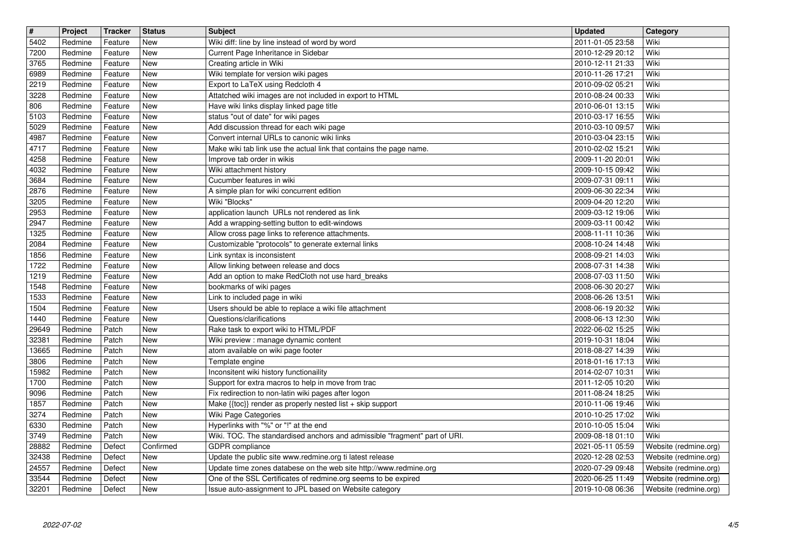| 2010-12-29 20:12<br>Wiki<br>7200<br>Redmine<br>New<br>Current Page Inheritance in Sidebar<br>Feature<br>3765<br>Creating article in Wiki<br>Wiki<br>New<br>2010-12-11 21:33<br>Redmine<br>Feature<br>Wiki template for version wiki pages<br>6989<br>New<br>2010-11-26 17:21<br>Wiki<br>Redmine<br>Feature<br>Export to LaTeX using Redcloth 4<br>2219<br>New<br>2010-09-02 05:21<br>Wiki<br>Redmine<br>Feature<br>Attatched wiki images are not included in export to HTML<br>3228<br>Redmine<br>New<br>2010-08-24 00:33<br>Wiki<br>Feature<br>Have wiki links display linked page title<br>806<br>Redmine<br>Feature<br>New<br>2010-06-01 13:15<br>Wiki<br>status "out of date" for wiki pages<br>5103<br>Redmine<br><b>New</b><br>2010-03-17 16:55<br>Wiki<br>Feature<br>Add discussion thread for each wiki page<br>5029<br><b>New</b><br>2010-03-10 09:57<br>Wiki<br>Redmine<br>Feature<br>Convert internal URLs to canonic wiki links<br>Wiki<br><b>New</b><br>4987<br>Redmine<br>Feature<br>2010-03-04 23:15<br>Wiki<br>4717<br>Redmine<br><b>New</b><br>Make wiki tab link use the actual link that contains the page name.<br>2010-02-02 15:21<br>Feature<br>4258<br><b>New</b><br>Improve tab order in wikis<br>2009-11-20 20:01<br>Wiki<br>Redmine<br>Feature<br>Wiki attachment history<br>4032<br><b>New</b><br>2009-10-15 09:42<br>Wiki<br>Redmine<br>Feature<br>Cucumber features in wiki<br>3684<br>Feature<br>New<br>2009-07-31 09:11<br>Wiki<br>Redmine<br>2876<br>Redmine<br><b>New</b><br>Wiki<br>Feature<br>A simple plan for wiki concurrent edition<br>2009-06-30 22:34<br>Wiki "Blocks"<br>3205<br>Redmine<br>Feature<br><b>New</b><br>2009-04-20 12:20<br>Wiki<br>2953<br>Redmine<br>application launch URLs not rendered as link<br>Wiki<br>Feature<br><b>New</b><br>2009-03-12 19:06<br>2947<br>Redmine<br><b>New</b><br>Add a wrapping-setting button to edit-windows<br>Wiki<br>Feature<br>2009-03-11 00:42<br>Wiki<br>1325<br>Redmine<br><b>New</b><br>Allow cross page links to reference attachments.<br>Feature<br>2008-11-11 10:36<br>2084<br><b>New</b><br>Customizable "protocols" to generate external links<br>2008-10-24 14:48<br>Wiki<br>Redmine<br>Feature<br>Wiki<br>1856<br><b>New</b><br>Link syntax is inconsistent<br>2008-09-21 14:03<br>Redmine<br>Feature<br><b>New</b><br>Allow linking between release and docs<br>2008-07-31 14:38<br>Wiki<br>1722<br>Redmine<br>Feature<br>New<br>Add an option to make RedCloth not use hard_breaks<br>1219<br>2008-07-03 11:50<br>Wiki<br>Redmine<br>Feature<br>1548<br>Redmine<br><b>New</b><br>bookmarks of wiki pages<br>2008-06-30 20:27<br>Wiki<br>Feature<br>Link to included page in wiki<br>1533<br>Redmine<br><b>New</b><br>2008-06-26 13:51<br>Wiki<br>Feature<br>Users should be able to replace a wiki file attachment<br>1504<br>Redmine<br>2008-06-19 20:32<br>Wiki<br>Feature<br><b>New</b><br>Questions/clarifications<br>2008-06-13 12:30<br>Wiki<br>1440<br>Redmine<br>Feature<br><b>New</b><br>Wiki<br>Patch<br><b>New</b><br>Rake task to export wiki to HTML/PDF<br>2022-06-02 15:25<br>29649<br>Redmine<br>32381<br>Redmine<br>Patch<br><b>New</b><br>Wiki preview : manage dynamic content<br>2019-10-31 18:04<br>Wiki<br>atom available on wiki page footer<br>Wiki<br>13665<br>Redmine<br>Patch<br><b>New</b><br>2018-08-27 14:39<br>Redmine<br>Patch<br><b>New</b><br>Template engine<br>2018-01-16 17:13<br>Wiki<br>3806<br>15982<br>New<br>Inconsitent wiki history functionaility<br>Patch<br>2014-02-07 10:31<br>Wiki<br>Redmine<br>1700<br>Redmine<br>Patch<br><b>New</b><br>Support for extra macros to help in move from trac<br>2011-12-05 10:20<br>Wiki<br>Fix redirection to non-latin wiki pages after logon<br>9096<br>Redmine<br>Patch<br><b>New</b><br>2011-08-24 18:25<br>Wiki<br>1857<br>Redmine<br><b>New</b><br>Make {{toc}} render as properly nested list + skip support<br>2010-11-06 19:46<br>Wiki<br>Patch<br>3274<br>Patch<br><b>New</b><br>Wiki Page Categories<br>2010-10-25 17:02<br>Wiki<br>Redmine<br>New<br>Hyperlinks with "%" or "!" at the end<br>6330<br>Patch<br>2010-10-05 15:04<br>Wiki<br>Redmine<br>3749<br>Wiki<br>Patch<br>New<br>Wiki. TOC. The standardised anchors and admissible "fragment" part of URI.<br>2009-08-18 01:10<br>Redmine<br>Redmine<br>Website (redmine.org)<br>Defect<br>Confirmed<br>2021-05-11 05:59<br>GDPR compliance<br>32438<br>Redmine<br>Defect<br><b>New</b><br>Update the public site www.redmine.org ti latest release<br>2020-12-28 02:53<br>Website (redmine.org)<br>Update time zones databese on the web site http://www.redmine.org<br>24557<br>New<br>Redmine<br>Defect<br>2020-07-29 09:48<br>Website (redmine.org)<br>One of the SSL Certificates of redmine.org seems to be expired<br>33544<br>New<br>Website (redmine.org)<br>Redmine<br>Defect<br>2020-06-25 11:49<br>32201<br>New<br>Issue auto-assignment to JPL based on Website category<br>2019-10-08 06:36<br>Website (redmine.org)<br>Redmine<br>Defect<br>2022-07-02 | $\overline{\mathbf{H}}$ | Project | <b>Tracker</b> | <b>Status</b> | <b>Subject</b>                                  | <b>Updated</b>   | Category |
|-----------------------------------------------------------------------------------------------------------------------------------------------------------------------------------------------------------------------------------------------------------------------------------------------------------------------------------------------------------------------------------------------------------------------------------------------------------------------------------------------------------------------------------------------------------------------------------------------------------------------------------------------------------------------------------------------------------------------------------------------------------------------------------------------------------------------------------------------------------------------------------------------------------------------------------------------------------------------------------------------------------------------------------------------------------------------------------------------------------------------------------------------------------------------------------------------------------------------------------------------------------------------------------------------------------------------------------------------------------------------------------------------------------------------------------------------------------------------------------------------------------------------------------------------------------------------------------------------------------------------------------------------------------------------------------------------------------------------------------------------------------------------------------------------------------------------------------------------------------------------------------------------------------------------------------------------------------------------------------------------------------------------------------------------------------------------------------------------------------------------------------------------------------------------------------------------------------------------------------------------------------------------------------------------------------------------------------------------------------------------------------------------------------------------------------------------------------------------------------------------------------------------------------------------------------------------------------------------------------------------------------------------------------------------------------------------------------------------------------------------------------------------------------------------------------------------------------------------------------------------------------------------------------------------------------------------------------------------------------------------------------------------------------------------------------------------------------------------------------------------------------------------------------------------------------------------------------------------------------------------------------------------------------------------------------------------------------------------------------------------------------------------------------------------------------------------------------------------------------------------------------------------------------------------------------------------------------------------------------------------------------------------------------------------------------------------------------------------------------------------------------------------------------------------------------------------------------------------------------------------------------------------------------------------------------------------------------------------------------------------------------------------------------------------------------------------------------------------------------------------------------------------------------------------------------------------------------------------------------------------------------------------------------------------------------------------------------------------------------------------------------------------------------------------------------------------------------------------------------------------------------------------------------------------------------------------------------------------------------------------------------------------------------------------------------------------------------------------------------------------------------------------------------------------------------------------------------------------------------------------------------------------------------------------------------------------------------------------------------------------------------------------------------|-------------------------|---------|----------------|---------------|-------------------------------------------------|------------------|----------|
| 28882                                                                                                                                                                                                                                                                                                                                                                                                                                                                                                                                                                                                                                                                                                                                                                                                                                                                                                                                                                                                                                                                                                                                                                                                                                                                                                                                                                                                                                                                                                                                                                                                                                                                                                                                                                                                                                                                                                                                                                                                                                                                                                                                                                                                                                                                                                                                                                                                                                                                                                                                                                                                                                                                                                                                                                                                                                                                                                                                                                                                                                                                                                                                                                                                                                                                                                                                                                                                                                                                                                                                                                                                                                                                                                                                                                                                                                                                                                                                                                                                                                                                                                                                                                                                                                                                                                                                                                                                                                                                                                                                                                                                                                                                                                                                                                                                                                                                                                                                                                                                                             | 5402                    | Redmine | Feature        | <b>New</b>    | Wiki diff: line by line instead of word by word | 2011-01-05 23:58 | Wiki     |
|                                                                                                                                                                                                                                                                                                                                                                                                                                                                                                                                                                                                                                                                                                                                                                                                                                                                                                                                                                                                                                                                                                                                                                                                                                                                                                                                                                                                                                                                                                                                                                                                                                                                                                                                                                                                                                                                                                                                                                                                                                                                                                                                                                                                                                                                                                                                                                                                                                                                                                                                                                                                                                                                                                                                                                                                                                                                                                                                                                                                                                                                                                                                                                                                                                                                                                                                                                                                                                                                                                                                                                                                                                                                                                                                                                                                                                                                                                                                                                                                                                                                                                                                                                                                                                                                                                                                                                                                                                                                                                                                                                                                                                                                                                                                                                                                                                                                                                                                                                                                                                   |                         |         |                |               |                                                 |                  |          |
|                                                                                                                                                                                                                                                                                                                                                                                                                                                                                                                                                                                                                                                                                                                                                                                                                                                                                                                                                                                                                                                                                                                                                                                                                                                                                                                                                                                                                                                                                                                                                                                                                                                                                                                                                                                                                                                                                                                                                                                                                                                                                                                                                                                                                                                                                                                                                                                                                                                                                                                                                                                                                                                                                                                                                                                                                                                                                                                                                                                                                                                                                                                                                                                                                                                                                                                                                                                                                                                                                                                                                                                                                                                                                                                                                                                                                                                                                                                                                                                                                                                                                                                                                                                                                                                                                                                                                                                                                                                                                                                                                                                                                                                                                                                                                                                                                                                                                                                                                                                                                                   |                         |         |                |               |                                                 |                  |          |
|                                                                                                                                                                                                                                                                                                                                                                                                                                                                                                                                                                                                                                                                                                                                                                                                                                                                                                                                                                                                                                                                                                                                                                                                                                                                                                                                                                                                                                                                                                                                                                                                                                                                                                                                                                                                                                                                                                                                                                                                                                                                                                                                                                                                                                                                                                                                                                                                                                                                                                                                                                                                                                                                                                                                                                                                                                                                                                                                                                                                                                                                                                                                                                                                                                                                                                                                                                                                                                                                                                                                                                                                                                                                                                                                                                                                                                                                                                                                                                                                                                                                                                                                                                                                                                                                                                                                                                                                                                                                                                                                                                                                                                                                                                                                                                                                                                                                                                                                                                                                                                   |                         |         |                |               |                                                 |                  |          |
|                                                                                                                                                                                                                                                                                                                                                                                                                                                                                                                                                                                                                                                                                                                                                                                                                                                                                                                                                                                                                                                                                                                                                                                                                                                                                                                                                                                                                                                                                                                                                                                                                                                                                                                                                                                                                                                                                                                                                                                                                                                                                                                                                                                                                                                                                                                                                                                                                                                                                                                                                                                                                                                                                                                                                                                                                                                                                                                                                                                                                                                                                                                                                                                                                                                                                                                                                                                                                                                                                                                                                                                                                                                                                                                                                                                                                                                                                                                                                                                                                                                                                                                                                                                                                                                                                                                                                                                                                                                                                                                                                                                                                                                                                                                                                                                                                                                                                                                                                                                                                                   |                         |         |                |               |                                                 |                  |          |
|                                                                                                                                                                                                                                                                                                                                                                                                                                                                                                                                                                                                                                                                                                                                                                                                                                                                                                                                                                                                                                                                                                                                                                                                                                                                                                                                                                                                                                                                                                                                                                                                                                                                                                                                                                                                                                                                                                                                                                                                                                                                                                                                                                                                                                                                                                                                                                                                                                                                                                                                                                                                                                                                                                                                                                                                                                                                                                                                                                                                                                                                                                                                                                                                                                                                                                                                                                                                                                                                                                                                                                                                                                                                                                                                                                                                                                                                                                                                                                                                                                                                                                                                                                                                                                                                                                                                                                                                                                                                                                                                                                                                                                                                                                                                                                                                                                                                                                                                                                                                                                   |                         |         |                |               |                                                 |                  |          |
|                                                                                                                                                                                                                                                                                                                                                                                                                                                                                                                                                                                                                                                                                                                                                                                                                                                                                                                                                                                                                                                                                                                                                                                                                                                                                                                                                                                                                                                                                                                                                                                                                                                                                                                                                                                                                                                                                                                                                                                                                                                                                                                                                                                                                                                                                                                                                                                                                                                                                                                                                                                                                                                                                                                                                                                                                                                                                                                                                                                                                                                                                                                                                                                                                                                                                                                                                                                                                                                                                                                                                                                                                                                                                                                                                                                                                                                                                                                                                                                                                                                                                                                                                                                                                                                                                                                                                                                                                                                                                                                                                                                                                                                                                                                                                                                                                                                                                                                                                                                                                                   |                         |         |                |               |                                                 |                  |          |
|                                                                                                                                                                                                                                                                                                                                                                                                                                                                                                                                                                                                                                                                                                                                                                                                                                                                                                                                                                                                                                                                                                                                                                                                                                                                                                                                                                                                                                                                                                                                                                                                                                                                                                                                                                                                                                                                                                                                                                                                                                                                                                                                                                                                                                                                                                                                                                                                                                                                                                                                                                                                                                                                                                                                                                                                                                                                                                                                                                                                                                                                                                                                                                                                                                                                                                                                                                                                                                                                                                                                                                                                                                                                                                                                                                                                                                                                                                                                                                                                                                                                                                                                                                                                                                                                                                                                                                                                                                                                                                                                                                                                                                                                                                                                                                                                                                                                                                                                                                                                                                   |                         |         |                |               |                                                 |                  |          |
|                                                                                                                                                                                                                                                                                                                                                                                                                                                                                                                                                                                                                                                                                                                                                                                                                                                                                                                                                                                                                                                                                                                                                                                                                                                                                                                                                                                                                                                                                                                                                                                                                                                                                                                                                                                                                                                                                                                                                                                                                                                                                                                                                                                                                                                                                                                                                                                                                                                                                                                                                                                                                                                                                                                                                                                                                                                                                                                                                                                                                                                                                                                                                                                                                                                                                                                                                                                                                                                                                                                                                                                                                                                                                                                                                                                                                                                                                                                                                                                                                                                                                                                                                                                                                                                                                                                                                                                                                                                                                                                                                                                                                                                                                                                                                                                                                                                                                                                                                                                                                                   |                         |         |                |               |                                                 |                  |          |
|                                                                                                                                                                                                                                                                                                                                                                                                                                                                                                                                                                                                                                                                                                                                                                                                                                                                                                                                                                                                                                                                                                                                                                                                                                                                                                                                                                                                                                                                                                                                                                                                                                                                                                                                                                                                                                                                                                                                                                                                                                                                                                                                                                                                                                                                                                                                                                                                                                                                                                                                                                                                                                                                                                                                                                                                                                                                                                                                                                                                                                                                                                                                                                                                                                                                                                                                                                                                                                                                                                                                                                                                                                                                                                                                                                                                                                                                                                                                                                                                                                                                                                                                                                                                                                                                                                                                                                                                                                                                                                                                                                                                                                                                                                                                                                                                                                                                                                                                                                                                                                   |                         |         |                |               |                                                 |                  |          |
|                                                                                                                                                                                                                                                                                                                                                                                                                                                                                                                                                                                                                                                                                                                                                                                                                                                                                                                                                                                                                                                                                                                                                                                                                                                                                                                                                                                                                                                                                                                                                                                                                                                                                                                                                                                                                                                                                                                                                                                                                                                                                                                                                                                                                                                                                                                                                                                                                                                                                                                                                                                                                                                                                                                                                                                                                                                                                                                                                                                                                                                                                                                                                                                                                                                                                                                                                                                                                                                                                                                                                                                                                                                                                                                                                                                                                                                                                                                                                                                                                                                                                                                                                                                                                                                                                                                                                                                                                                                                                                                                                                                                                                                                                                                                                                                                                                                                                                                                                                                                                                   |                         |         |                |               |                                                 |                  |          |
|                                                                                                                                                                                                                                                                                                                                                                                                                                                                                                                                                                                                                                                                                                                                                                                                                                                                                                                                                                                                                                                                                                                                                                                                                                                                                                                                                                                                                                                                                                                                                                                                                                                                                                                                                                                                                                                                                                                                                                                                                                                                                                                                                                                                                                                                                                                                                                                                                                                                                                                                                                                                                                                                                                                                                                                                                                                                                                                                                                                                                                                                                                                                                                                                                                                                                                                                                                                                                                                                                                                                                                                                                                                                                                                                                                                                                                                                                                                                                                                                                                                                                                                                                                                                                                                                                                                                                                                                                                                                                                                                                                                                                                                                                                                                                                                                                                                                                                                                                                                                                                   |                         |         |                |               |                                                 |                  |          |
|                                                                                                                                                                                                                                                                                                                                                                                                                                                                                                                                                                                                                                                                                                                                                                                                                                                                                                                                                                                                                                                                                                                                                                                                                                                                                                                                                                                                                                                                                                                                                                                                                                                                                                                                                                                                                                                                                                                                                                                                                                                                                                                                                                                                                                                                                                                                                                                                                                                                                                                                                                                                                                                                                                                                                                                                                                                                                                                                                                                                                                                                                                                                                                                                                                                                                                                                                                                                                                                                                                                                                                                                                                                                                                                                                                                                                                                                                                                                                                                                                                                                                                                                                                                                                                                                                                                                                                                                                                                                                                                                                                                                                                                                                                                                                                                                                                                                                                                                                                                                                                   |                         |         |                |               |                                                 |                  |          |
|                                                                                                                                                                                                                                                                                                                                                                                                                                                                                                                                                                                                                                                                                                                                                                                                                                                                                                                                                                                                                                                                                                                                                                                                                                                                                                                                                                                                                                                                                                                                                                                                                                                                                                                                                                                                                                                                                                                                                                                                                                                                                                                                                                                                                                                                                                                                                                                                                                                                                                                                                                                                                                                                                                                                                                                                                                                                                                                                                                                                                                                                                                                                                                                                                                                                                                                                                                                                                                                                                                                                                                                                                                                                                                                                                                                                                                                                                                                                                                                                                                                                                                                                                                                                                                                                                                                                                                                                                                                                                                                                                                                                                                                                                                                                                                                                                                                                                                                                                                                                                                   |                         |         |                |               |                                                 |                  |          |
|                                                                                                                                                                                                                                                                                                                                                                                                                                                                                                                                                                                                                                                                                                                                                                                                                                                                                                                                                                                                                                                                                                                                                                                                                                                                                                                                                                                                                                                                                                                                                                                                                                                                                                                                                                                                                                                                                                                                                                                                                                                                                                                                                                                                                                                                                                                                                                                                                                                                                                                                                                                                                                                                                                                                                                                                                                                                                                                                                                                                                                                                                                                                                                                                                                                                                                                                                                                                                                                                                                                                                                                                                                                                                                                                                                                                                                                                                                                                                                                                                                                                                                                                                                                                                                                                                                                                                                                                                                                                                                                                                                                                                                                                                                                                                                                                                                                                                                                                                                                                                                   |                         |         |                |               |                                                 |                  |          |
|                                                                                                                                                                                                                                                                                                                                                                                                                                                                                                                                                                                                                                                                                                                                                                                                                                                                                                                                                                                                                                                                                                                                                                                                                                                                                                                                                                                                                                                                                                                                                                                                                                                                                                                                                                                                                                                                                                                                                                                                                                                                                                                                                                                                                                                                                                                                                                                                                                                                                                                                                                                                                                                                                                                                                                                                                                                                                                                                                                                                                                                                                                                                                                                                                                                                                                                                                                                                                                                                                                                                                                                                                                                                                                                                                                                                                                                                                                                                                                                                                                                                                                                                                                                                                                                                                                                                                                                                                                                                                                                                                                                                                                                                                                                                                                                                                                                                                                                                                                                                                                   |                         |         |                |               |                                                 |                  |          |
|                                                                                                                                                                                                                                                                                                                                                                                                                                                                                                                                                                                                                                                                                                                                                                                                                                                                                                                                                                                                                                                                                                                                                                                                                                                                                                                                                                                                                                                                                                                                                                                                                                                                                                                                                                                                                                                                                                                                                                                                                                                                                                                                                                                                                                                                                                                                                                                                                                                                                                                                                                                                                                                                                                                                                                                                                                                                                                                                                                                                                                                                                                                                                                                                                                                                                                                                                                                                                                                                                                                                                                                                                                                                                                                                                                                                                                                                                                                                                                                                                                                                                                                                                                                                                                                                                                                                                                                                                                                                                                                                                                                                                                                                                                                                                                                                                                                                                                                                                                                                                                   |                         |         |                |               |                                                 |                  |          |
|                                                                                                                                                                                                                                                                                                                                                                                                                                                                                                                                                                                                                                                                                                                                                                                                                                                                                                                                                                                                                                                                                                                                                                                                                                                                                                                                                                                                                                                                                                                                                                                                                                                                                                                                                                                                                                                                                                                                                                                                                                                                                                                                                                                                                                                                                                                                                                                                                                                                                                                                                                                                                                                                                                                                                                                                                                                                                                                                                                                                                                                                                                                                                                                                                                                                                                                                                                                                                                                                                                                                                                                                                                                                                                                                                                                                                                                                                                                                                                                                                                                                                                                                                                                                                                                                                                                                                                                                                                                                                                                                                                                                                                                                                                                                                                                                                                                                                                                                                                                                                                   |                         |         |                |               |                                                 |                  |          |
|                                                                                                                                                                                                                                                                                                                                                                                                                                                                                                                                                                                                                                                                                                                                                                                                                                                                                                                                                                                                                                                                                                                                                                                                                                                                                                                                                                                                                                                                                                                                                                                                                                                                                                                                                                                                                                                                                                                                                                                                                                                                                                                                                                                                                                                                                                                                                                                                                                                                                                                                                                                                                                                                                                                                                                                                                                                                                                                                                                                                                                                                                                                                                                                                                                                                                                                                                                                                                                                                                                                                                                                                                                                                                                                                                                                                                                                                                                                                                                                                                                                                                                                                                                                                                                                                                                                                                                                                                                                                                                                                                                                                                                                                                                                                                                                                                                                                                                                                                                                                                                   |                         |         |                |               |                                                 |                  |          |
|                                                                                                                                                                                                                                                                                                                                                                                                                                                                                                                                                                                                                                                                                                                                                                                                                                                                                                                                                                                                                                                                                                                                                                                                                                                                                                                                                                                                                                                                                                                                                                                                                                                                                                                                                                                                                                                                                                                                                                                                                                                                                                                                                                                                                                                                                                                                                                                                                                                                                                                                                                                                                                                                                                                                                                                                                                                                                                                                                                                                                                                                                                                                                                                                                                                                                                                                                                                                                                                                                                                                                                                                                                                                                                                                                                                                                                                                                                                                                                                                                                                                                                                                                                                                                                                                                                                                                                                                                                                                                                                                                                                                                                                                                                                                                                                                                                                                                                                                                                                                                                   |                         |         |                |               |                                                 |                  |          |
|                                                                                                                                                                                                                                                                                                                                                                                                                                                                                                                                                                                                                                                                                                                                                                                                                                                                                                                                                                                                                                                                                                                                                                                                                                                                                                                                                                                                                                                                                                                                                                                                                                                                                                                                                                                                                                                                                                                                                                                                                                                                                                                                                                                                                                                                                                                                                                                                                                                                                                                                                                                                                                                                                                                                                                                                                                                                                                                                                                                                                                                                                                                                                                                                                                                                                                                                                                                                                                                                                                                                                                                                                                                                                                                                                                                                                                                                                                                                                                                                                                                                                                                                                                                                                                                                                                                                                                                                                                                                                                                                                                                                                                                                                                                                                                                                                                                                                                                                                                                                                                   |                         |         |                |               |                                                 |                  |          |
|                                                                                                                                                                                                                                                                                                                                                                                                                                                                                                                                                                                                                                                                                                                                                                                                                                                                                                                                                                                                                                                                                                                                                                                                                                                                                                                                                                                                                                                                                                                                                                                                                                                                                                                                                                                                                                                                                                                                                                                                                                                                                                                                                                                                                                                                                                                                                                                                                                                                                                                                                                                                                                                                                                                                                                                                                                                                                                                                                                                                                                                                                                                                                                                                                                                                                                                                                                                                                                                                                                                                                                                                                                                                                                                                                                                                                                                                                                                                                                                                                                                                                                                                                                                                                                                                                                                                                                                                                                                                                                                                                                                                                                                                                                                                                                                                                                                                                                                                                                                                                                   |                         |         |                |               |                                                 |                  |          |
|                                                                                                                                                                                                                                                                                                                                                                                                                                                                                                                                                                                                                                                                                                                                                                                                                                                                                                                                                                                                                                                                                                                                                                                                                                                                                                                                                                                                                                                                                                                                                                                                                                                                                                                                                                                                                                                                                                                                                                                                                                                                                                                                                                                                                                                                                                                                                                                                                                                                                                                                                                                                                                                                                                                                                                                                                                                                                                                                                                                                                                                                                                                                                                                                                                                                                                                                                                                                                                                                                                                                                                                                                                                                                                                                                                                                                                                                                                                                                                                                                                                                                                                                                                                                                                                                                                                                                                                                                                                                                                                                                                                                                                                                                                                                                                                                                                                                                                                                                                                                                                   |                         |         |                |               |                                                 |                  |          |
|                                                                                                                                                                                                                                                                                                                                                                                                                                                                                                                                                                                                                                                                                                                                                                                                                                                                                                                                                                                                                                                                                                                                                                                                                                                                                                                                                                                                                                                                                                                                                                                                                                                                                                                                                                                                                                                                                                                                                                                                                                                                                                                                                                                                                                                                                                                                                                                                                                                                                                                                                                                                                                                                                                                                                                                                                                                                                                                                                                                                                                                                                                                                                                                                                                                                                                                                                                                                                                                                                                                                                                                                                                                                                                                                                                                                                                                                                                                                                                                                                                                                                                                                                                                                                                                                                                                                                                                                                                                                                                                                                                                                                                                                                                                                                                                                                                                                                                                                                                                                                                   |                         |         |                |               |                                                 |                  |          |
|                                                                                                                                                                                                                                                                                                                                                                                                                                                                                                                                                                                                                                                                                                                                                                                                                                                                                                                                                                                                                                                                                                                                                                                                                                                                                                                                                                                                                                                                                                                                                                                                                                                                                                                                                                                                                                                                                                                                                                                                                                                                                                                                                                                                                                                                                                                                                                                                                                                                                                                                                                                                                                                                                                                                                                                                                                                                                                                                                                                                                                                                                                                                                                                                                                                                                                                                                                                                                                                                                                                                                                                                                                                                                                                                                                                                                                                                                                                                                                                                                                                                                                                                                                                                                                                                                                                                                                                                                                                                                                                                                                                                                                                                                                                                                                                                                                                                                                                                                                                                                                   |                         |         |                |               |                                                 |                  |          |
|                                                                                                                                                                                                                                                                                                                                                                                                                                                                                                                                                                                                                                                                                                                                                                                                                                                                                                                                                                                                                                                                                                                                                                                                                                                                                                                                                                                                                                                                                                                                                                                                                                                                                                                                                                                                                                                                                                                                                                                                                                                                                                                                                                                                                                                                                                                                                                                                                                                                                                                                                                                                                                                                                                                                                                                                                                                                                                                                                                                                                                                                                                                                                                                                                                                                                                                                                                                                                                                                                                                                                                                                                                                                                                                                                                                                                                                                                                                                                                                                                                                                                                                                                                                                                                                                                                                                                                                                                                                                                                                                                                                                                                                                                                                                                                                                                                                                                                                                                                                                                                   |                         |         |                |               |                                                 |                  |          |
|                                                                                                                                                                                                                                                                                                                                                                                                                                                                                                                                                                                                                                                                                                                                                                                                                                                                                                                                                                                                                                                                                                                                                                                                                                                                                                                                                                                                                                                                                                                                                                                                                                                                                                                                                                                                                                                                                                                                                                                                                                                                                                                                                                                                                                                                                                                                                                                                                                                                                                                                                                                                                                                                                                                                                                                                                                                                                                                                                                                                                                                                                                                                                                                                                                                                                                                                                                                                                                                                                                                                                                                                                                                                                                                                                                                                                                                                                                                                                                                                                                                                                                                                                                                                                                                                                                                                                                                                                                                                                                                                                                                                                                                                                                                                                                                                                                                                                                                                                                                                                                   |                         |         |                |               |                                                 |                  |          |
|                                                                                                                                                                                                                                                                                                                                                                                                                                                                                                                                                                                                                                                                                                                                                                                                                                                                                                                                                                                                                                                                                                                                                                                                                                                                                                                                                                                                                                                                                                                                                                                                                                                                                                                                                                                                                                                                                                                                                                                                                                                                                                                                                                                                                                                                                                                                                                                                                                                                                                                                                                                                                                                                                                                                                                                                                                                                                                                                                                                                                                                                                                                                                                                                                                                                                                                                                                                                                                                                                                                                                                                                                                                                                                                                                                                                                                                                                                                                                                                                                                                                                                                                                                                                                                                                                                                                                                                                                                                                                                                                                                                                                                                                                                                                                                                                                                                                                                                                                                                                                                   |                         |         |                |               |                                                 |                  |          |
|                                                                                                                                                                                                                                                                                                                                                                                                                                                                                                                                                                                                                                                                                                                                                                                                                                                                                                                                                                                                                                                                                                                                                                                                                                                                                                                                                                                                                                                                                                                                                                                                                                                                                                                                                                                                                                                                                                                                                                                                                                                                                                                                                                                                                                                                                                                                                                                                                                                                                                                                                                                                                                                                                                                                                                                                                                                                                                                                                                                                                                                                                                                                                                                                                                                                                                                                                                                                                                                                                                                                                                                                                                                                                                                                                                                                                                                                                                                                                                                                                                                                                                                                                                                                                                                                                                                                                                                                                                                                                                                                                                                                                                                                                                                                                                                                                                                                                                                                                                                                                                   |                         |         |                |               |                                                 |                  |          |
|                                                                                                                                                                                                                                                                                                                                                                                                                                                                                                                                                                                                                                                                                                                                                                                                                                                                                                                                                                                                                                                                                                                                                                                                                                                                                                                                                                                                                                                                                                                                                                                                                                                                                                                                                                                                                                                                                                                                                                                                                                                                                                                                                                                                                                                                                                                                                                                                                                                                                                                                                                                                                                                                                                                                                                                                                                                                                                                                                                                                                                                                                                                                                                                                                                                                                                                                                                                                                                                                                                                                                                                                                                                                                                                                                                                                                                                                                                                                                                                                                                                                                                                                                                                                                                                                                                                                                                                                                                                                                                                                                                                                                                                                                                                                                                                                                                                                                                                                                                                                                                   |                         |         |                |               |                                                 |                  |          |
|                                                                                                                                                                                                                                                                                                                                                                                                                                                                                                                                                                                                                                                                                                                                                                                                                                                                                                                                                                                                                                                                                                                                                                                                                                                                                                                                                                                                                                                                                                                                                                                                                                                                                                                                                                                                                                                                                                                                                                                                                                                                                                                                                                                                                                                                                                                                                                                                                                                                                                                                                                                                                                                                                                                                                                                                                                                                                                                                                                                                                                                                                                                                                                                                                                                                                                                                                                                                                                                                                                                                                                                                                                                                                                                                                                                                                                                                                                                                                                                                                                                                                                                                                                                                                                                                                                                                                                                                                                                                                                                                                                                                                                                                                                                                                                                                                                                                                                                                                                                                                                   |                         |         |                |               |                                                 |                  |          |
|                                                                                                                                                                                                                                                                                                                                                                                                                                                                                                                                                                                                                                                                                                                                                                                                                                                                                                                                                                                                                                                                                                                                                                                                                                                                                                                                                                                                                                                                                                                                                                                                                                                                                                                                                                                                                                                                                                                                                                                                                                                                                                                                                                                                                                                                                                                                                                                                                                                                                                                                                                                                                                                                                                                                                                                                                                                                                                                                                                                                                                                                                                                                                                                                                                                                                                                                                                                                                                                                                                                                                                                                                                                                                                                                                                                                                                                                                                                                                                                                                                                                                                                                                                                                                                                                                                                                                                                                                                                                                                                                                                                                                                                                                                                                                                                                                                                                                                                                                                                                                                   |                         |         |                |               |                                                 |                  |          |
|                                                                                                                                                                                                                                                                                                                                                                                                                                                                                                                                                                                                                                                                                                                                                                                                                                                                                                                                                                                                                                                                                                                                                                                                                                                                                                                                                                                                                                                                                                                                                                                                                                                                                                                                                                                                                                                                                                                                                                                                                                                                                                                                                                                                                                                                                                                                                                                                                                                                                                                                                                                                                                                                                                                                                                                                                                                                                                                                                                                                                                                                                                                                                                                                                                                                                                                                                                                                                                                                                                                                                                                                                                                                                                                                                                                                                                                                                                                                                                                                                                                                                                                                                                                                                                                                                                                                                                                                                                                                                                                                                                                                                                                                                                                                                                                                                                                                                                                                                                                                                                   |                         |         |                |               |                                                 |                  |          |